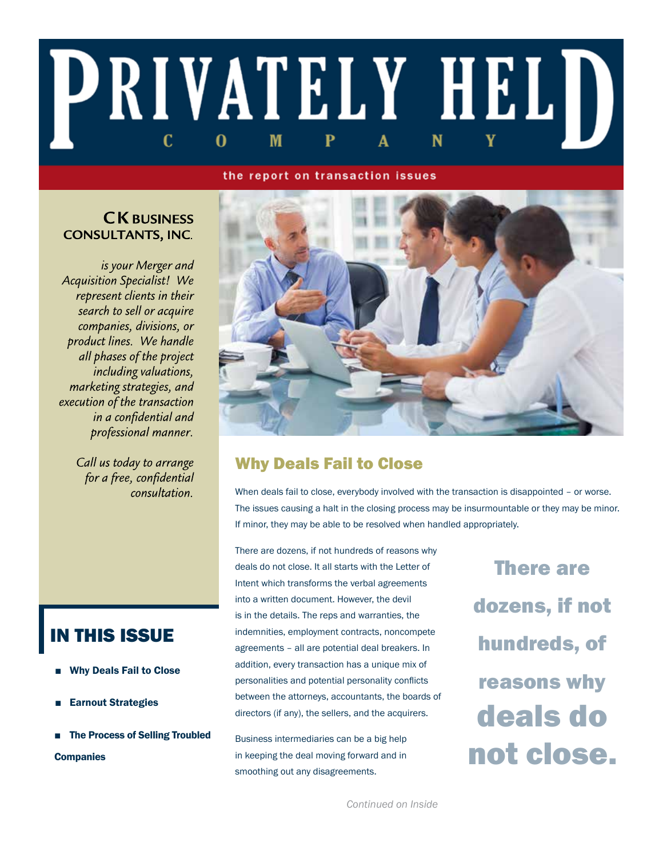# PRIVATELY HELD C M 0

#### the report on transaction issues

# **CK BUSINESS CONSULTANTS, INC.**

is your Merger and **Acquisition Specialist!** We represent clients in their search to sell or acquire companies, divisions, or product lines. We handle all phases of the project *including valuations,* marketing strategies, and execution of the transaction in a confidential and professional manner.

> Call us today to arrange for a free, confidential consultation.



# Why Deals Fail to Close

When deals fail to close, everybody involved with the transaction is disappointed - or worse. The issues causing a halt in the closing process may be insurmountable or they may be minor. If minor, they may be able to be resolved when handled appropriately.

There are dozens, if not hundreds of reasons why deals do not close. It all starts with the Letter of Intent which transforms the verbal agreements into a written document. However, the devil is in the details. The reps and warranties, the indemnities, employment contracts, noncompete agreements – all are potential deal breakers. In addition, every transaction has a unique mix of personalities and potential personality conflicts between the attorneys, accountants, the boards of directors (if any), the sellers, and the acquirers.

Business intermediaries can be a big help in keeping the deal moving forward and in smoothing out any disagreements.

There are dozens, if not hundreds, of reasons why deals do not close.

IN THIS ISSUE

- Why Deals Fail to Close
- **Earnout Strategies**
- **The Process of Selling Troubled Companies**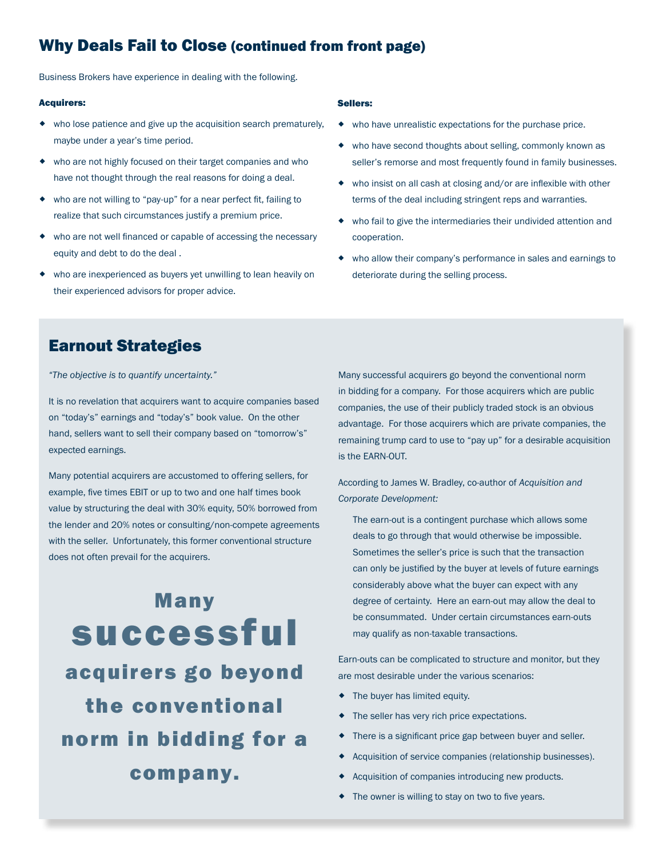# Why Deals Fail to Close (continued from front page)

Business Brokers have experience in dealing with the following.

#### Acquirers:

- who lose patience and give up the acquisition search prematurely, maybe under a year's time period.
- who are not highly focused on their target companies and who have not thought through the real reasons for doing a deal.
- who are not willing to "pay-up" for a near perfect fit, failing to realize that such circumstances justify a premium price.
- who are not well financed or capable of accessing the necessary equity and debt to do the deal .
- who are inexperienced as buyers yet unwilling to lean heavily on their experienced advisors for proper advice.

#### Sellers:

- who have unrealistic expectations for the purchase price.
- who have second thoughts about selling, commonly known as seller's remorse and most frequently found in family businesses.
- who insist on all cash at closing and/or are inflexible with other terms of the deal including stringent reps and warranties.
- who fail to give the intermediaries their undivided attention and cooperation.
- who allow their company's performance in sales and earnings to deteriorate during the selling process.

## Earnout Strategies

*"The objective is to quantify uncertainty."*

It is no revelation that acquirers want to acquire companies based on "today's" earnings and "today's" book value. On the other hand, sellers want to sell their company based on "tomorrow's" expected earnings.

Many potential acquirers are accustomed to offering sellers, for example, five times EBIT or up to two and one half times book value by structuring the deal with 30% equity, 50% borrowed from the lender and 20% notes or consulting/non-compete agreements with the seller. Unfortunately, this former conventional structure does not often prevail for the acquirers.

Many successful acquirers go beyond the conventional norm in bidding for a company.

Many successful acquirers go beyond the conventional norm in bidding for a company. For those acquirers which are public companies, the use of their publicly traded stock is an obvious advantage. For those acquirers which are private companies, the remaining trump card to use to "pay up" for a desirable acquisition is the EARN-OUT.

According to James W. Bradley, co-author of *Acquisition and Corporate Development:*

The earn-out is a contingent purchase which allows some deals to go through that would otherwise be impossible. Sometimes the seller's price is such that the transaction can only be justified by the buyer at levels of future earnings considerably above what the buyer can expect with any degree of certainty. Here an earn-out may allow the deal to be consummated. Under certain circumstances earn-outs may qualify as non-taxable transactions.

Earn-outs can be complicated to structure and monitor, but they are most desirable under the various scenarios:

- $\bullet$  The buyer has limited equity.
- $\bullet$  The seller has very rich price expectations.
- There is a significant price gap between buyer and seller.
- Acquisition of service companies (relationship businesses).
- Acquisition of companies introducing new products.
- The owner is willing to stay on two to five years.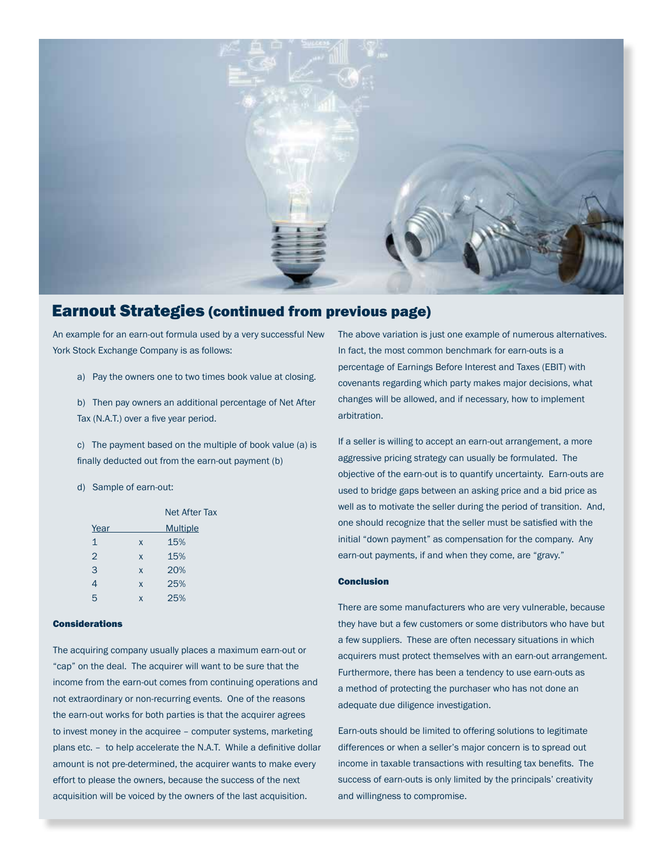

# Earnout Strategies (continued from previous page)

An example for an earn-out formula used by a very successful New York Stock Exchange Company is as follows:

a) Pay the owners one to two times book value at closing.

b) Then pay owners an additional percentage of Net After Tax (N.A.T.) over a five year period.

c) The payment based on the multiple of book value (a) is finally deducted out from the earn-out payment (b)

d) Sample of earn-out:

|                |   | <b>Net After Tax</b> |
|----------------|---|----------------------|
| Year           |   | <b>Multiple</b>      |
| $\mathbf{1}$   | X | 15%                  |
| $\overline{2}$ | X | 15%                  |
| 3              | X | 20%                  |
| 4              | X | 25%                  |
| 5              | X | 25%                  |

#### Considerations

The acquiring company usually places a maximum earn-out or "cap" on the deal. The acquirer will want to be sure that the income from the earn-out comes from continuing operations and not extraordinary or non-recurring events. One of the reasons the earn-out works for both parties is that the acquirer agrees to invest money in the acquiree – computer systems, marketing plans etc. – to help accelerate the N.A.T. While a definitive dollar amount is not pre-determined, the acquirer wants to make every effort to please the owners, because the success of the next acquisition will be voiced by the owners of the last acquisition.

The above variation is just one example of numerous alternatives. In fact, the most common benchmark for earn-outs is a percentage of Earnings Before Interest and Taxes (EBIT) with covenants regarding which party makes major decisions, what changes will be allowed, and if necessary, how to implement arbitration.

If a seller is willing to accept an earn-out arrangement, a more aggressive pricing strategy can usually be formulated. The objective of the earn-out is to quantify uncertainty. Earn-outs are used to bridge gaps between an asking price and a bid price as well as to motivate the seller during the period of transition. And, one should recognize that the seller must be satisfied with the initial "down payment" as compensation for the company. Any earn-out payments, if and when they come, are "gravy."

#### Conclusion

There are some manufacturers who are very vulnerable, because they have but a few customers or some distributors who have but a few suppliers. These are often necessary situations in which acquirers must protect themselves with an earn-out arrangement. Furthermore, there has been a tendency to use earn-outs as a method of protecting the purchaser who has not done an adequate due diligence investigation.

Earn-outs should be limited to offering solutions to legitimate differences or when a seller's major concern is to spread out income in taxable transactions with resulting tax benefits. The success of earn-outs is only limited by the principals' creativity and willingness to compromise.